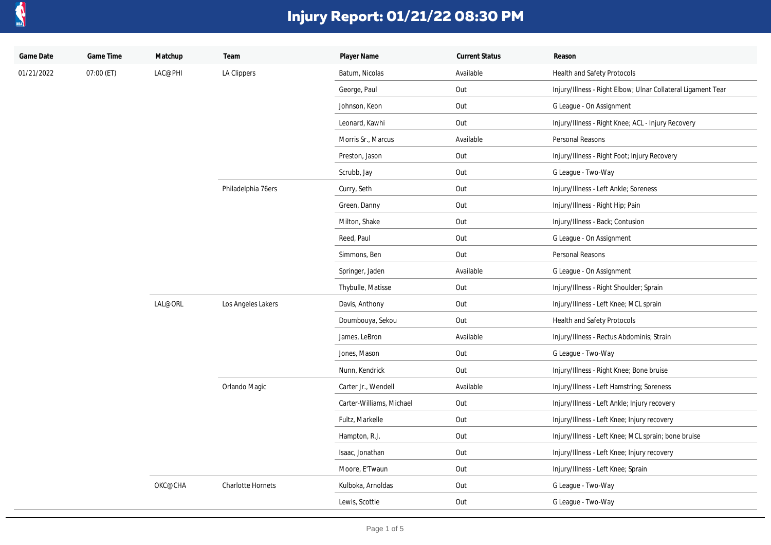

| Game Date  | Game Time    | Matchup            | Team               | Player Name              | <b>Current Status</b> | Reason                                                       |
|------------|--------------|--------------------|--------------------|--------------------------|-----------------------|--------------------------------------------------------------|
| 01/21/2022 | $07:00$ (ET) | LAC@PHI            | LA Clippers        | Batum, Nicolas           | Available             | Health and Safety Protocols                                  |
|            |              |                    |                    | George, Paul             | Out                   | Injury/Illness - Right Elbow; Ulnar Collateral Ligament Tear |
|            |              |                    |                    | Johnson, Keon            | Out                   | G League - On Assignment                                     |
|            |              |                    |                    | Leonard, Kawhi           | Out                   | Injury/Illness - Right Knee; ACL - Injury Recovery           |
|            |              |                    |                    | Morris Sr., Marcus       | Available             | Personal Reasons                                             |
|            |              |                    |                    | Preston, Jason           | Out                   | Injury/Illness - Right Foot; Injury Recovery                 |
|            |              |                    |                    | Scrubb, Jay              | Out                   | G League - Two-Way                                           |
|            |              |                    | Philadelphia 76ers | Curry, Seth              | Out                   | Injury/Illness - Left Ankle; Soreness                        |
|            |              |                    |                    | Green, Danny             | Out                   | Injury/Illness - Right Hip; Pain                             |
|            |              |                    |                    | Milton, Shake            | Out                   | Injury/Illness - Back; Contusion                             |
|            |              |                    |                    | Reed, Paul               | Out                   | G League - On Assignment                                     |
|            |              |                    |                    | Simmons, Ben             | Out                   | Personal Reasons                                             |
|            |              |                    |                    | Springer, Jaden          | Available             | G League - On Assignment                                     |
|            |              |                    |                    | Thybulle, Matisse        | Out                   | Injury/Illness - Right Shoulder; Sprain                      |
|            |              | LAL@ORL<br>OKC@CHA | Los Angeles Lakers | Davis, Anthony           | Out                   | Injury/Illness - Left Knee; MCL sprain                       |
|            |              |                    |                    | Doumbouya, Sekou         | Out                   | Health and Safety Protocols                                  |
|            |              |                    |                    | James, LeBron            | Available             | Injury/Illness - Rectus Abdominis; Strain                    |
|            |              |                    |                    | Jones, Mason             | Out                   | G League - Two-Way                                           |
|            |              |                    |                    | Nunn, Kendrick           | Out                   | Injury/Illness - Right Knee; Bone bruise                     |
|            |              |                    | Orlando Magic      | Carter Jr., Wendell      | Available             | Injury/Illness - Left Hamstring; Soreness                    |
|            |              |                    |                    | Carter-Williams, Michael | Out                   | Injury/Illness - Left Ankle; Injury recovery                 |
|            |              |                    |                    | Fultz, Markelle          | Out                   | Injury/Illness - Left Knee; Injury recovery                  |
|            |              |                    |                    | Hampton, R.J.            | Out                   | Injury/Illness - Left Knee; MCL sprain; bone bruise          |
|            |              |                    |                    | Isaac, Jonathan          | Out                   | Injury/Illness - Left Knee; Injury recovery                  |
|            |              |                    |                    | Moore, E'Twaun           | Out                   | Injury/Illness - Left Knee; Sprain                           |
|            |              |                    | Charlotte Hornets  | Kulboka, Arnoldas        | Out                   | G League - Two-Way                                           |
|            |              |                    |                    | Lewis, Scottie           | Out                   | G League - Two-Way                                           |
|            |              |                    |                    |                          |                       |                                                              |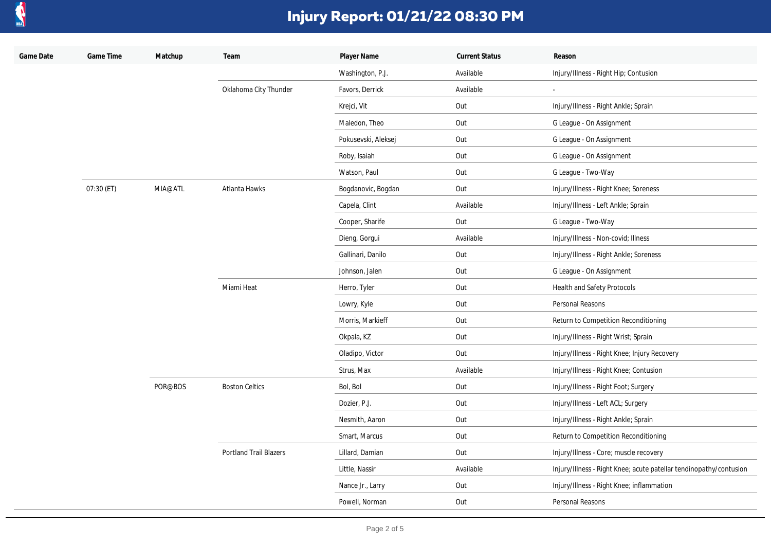

| Game Date | Game Time  | Matchup | Team                          | Player Name         | <b>Current Status</b> | Reason                                                             |
|-----------|------------|---------|-------------------------------|---------------------|-----------------------|--------------------------------------------------------------------|
|           |            |         |                               | Washington, P.J.    | Available             | Injury/Illness - Right Hip; Contusion                              |
|           |            |         | Oklahoma City Thunder         | Favors, Derrick     | Available             | $\sim$                                                             |
|           |            |         |                               | Krejci, Vit         | Out                   | Injury/Illness - Right Ankle; Sprain                               |
|           |            |         |                               | Maledon, Theo       | Out                   | G League - On Assignment                                           |
|           |            |         |                               | Pokusevski, Aleksej | Out                   | G League - On Assignment                                           |
|           |            |         |                               | Roby, Isaiah        | Out                   | G League - On Assignment                                           |
|           |            |         |                               | Watson, Paul        | Out                   | G League - Two-Way                                                 |
|           | 07:30 (ET) | MIA@ATL | Atlanta Hawks                 | Bogdanovic, Bogdan  | Out                   | Injury/Illness - Right Knee; Soreness                              |
|           |            |         |                               | Capela, Clint       | Available             | Injury/Illness - Left Ankle; Sprain                                |
|           |            |         |                               | Cooper, Sharife     | Out                   | G League - Two-Way                                                 |
|           |            |         |                               | Dieng, Gorgui       | Available             | Injury/Illness - Non-covid; Illness                                |
|           |            |         |                               | Gallinari, Danilo   | Out                   | Injury/Illness - Right Ankle; Soreness                             |
|           |            |         |                               | Johnson, Jalen      | Out                   | G League - On Assignment                                           |
|           |            |         | Miami Heat                    | Herro, Tyler        | Out                   | Health and Safety Protocols                                        |
|           |            |         |                               | Lowry, Kyle         | Out                   | Personal Reasons                                                   |
|           |            |         |                               | Morris, Markieff    | Out                   | Return to Competition Reconditioning                               |
|           |            |         |                               | Okpala, KZ          | Out                   | Injury/Illness - Right Wrist; Sprain                               |
|           |            |         |                               | Oladipo, Victor     | Out                   | Injury/Illness - Right Knee; Injury Recovery                       |
|           |            |         |                               | Strus, Max          | Available             | Injury/Illness - Right Knee; Contusion                             |
|           |            | POR@BOS | <b>Boston Celtics</b>         | Bol, Bol            | Out                   | Injury/Illness - Right Foot; Surgery                               |
|           |            |         |                               | Dozier, P.J.        | Out                   | Injury/Illness - Left ACL; Surgery                                 |
|           |            |         |                               | Nesmith, Aaron      | Out                   | Injury/Illness - Right Ankle; Sprain                               |
|           |            |         |                               | Smart, Marcus       | Out                   | Return to Competition Reconditioning                               |
|           |            |         | <b>Portland Trail Blazers</b> | Lillard, Damian     | Out                   | Injury/Illness - Core; muscle recovery                             |
|           |            |         |                               | Little, Nassir      | Available             | Injury/Illness - Right Knee; acute patellar tendinopathy/contusion |
|           |            |         |                               | Nance Jr., Larry    | Out                   | Injury/Illness - Right Knee; inflammation                          |
|           |            |         |                               | Powell, Norman      | Out                   | Personal Reasons                                                   |
|           |            |         |                               |                     |                       |                                                                    |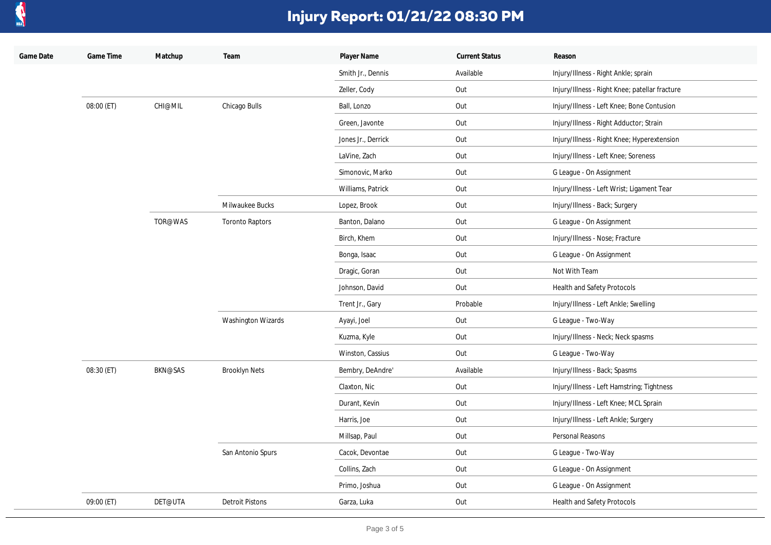

| Game Date | Game Time  | Matchup | Team                   | Player Name        | <b>Current Status</b> | Reason                                         |
|-----------|------------|---------|------------------------|--------------------|-----------------------|------------------------------------------------|
|           |            |         |                        | Smith Jr., Dennis  | Available             | Injury/Illness - Right Ankle; sprain           |
|           |            |         |                        | Zeller, Cody       | Out                   | Injury/Illness - Right Knee; patellar fracture |
|           | 08:00 (ET) | CHI@MIL | Chicago Bulls          | Ball, Lonzo        | Out                   | Injury/Illness - Left Knee; Bone Contusion     |
|           |            |         |                        | Green, Javonte     | Out                   | Injury/Illness - Right Adductor; Strain        |
|           |            |         |                        | Jones Jr., Derrick | Out                   | Injury/Illness - Right Knee; Hyperextension    |
|           |            |         |                        | LaVine, Zach       | Out                   | Injury/Illness - Left Knee; Soreness           |
|           |            |         |                        | Simonovic, Marko   | Out                   | G League - On Assignment                       |
|           |            |         |                        | Williams, Patrick  | Out                   | Injury/Illness - Left Wrist; Ligament Tear     |
|           |            |         | Milwaukee Bucks        | Lopez, Brook       | Out                   | Injury/Illness - Back; Surgery                 |
|           |            | TOR@WAS | <b>Toronto Raptors</b> | Banton, Dalano     | Out                   | G League - On Assignment                       |
|           |            |         |                        | Birch, Khem        | Out                   | Injury/Illness - Nose; Fracture                |
|           |            |         |                        | Bonga, Isaac       | Out                   | G League - On Assignment                       |
|           |            |         |                        | Dragic, Goran      | Out                   | Not With Team                                  |
|           |            |         |                        | Johnson, David     | Out                   | Health and Safety Protocols                    |
|           |            |         |                        | Trent Jr., Gary    | Probable              | Injury/Illness - Left Ankle; Swelling          |
|           |            |         | Washington Wizards     | Ayayi, Joel        | Out                   | G League - Two-Way                             |
|           |            |         |                        | Kuzma, Kyle        | Out                   | Injury/Illness - Neck; Neck spasms             |
|           |            |         |                        | Winston, Cassius   | Out                   | G League - Two-Way                             |
|           | 08:30 (ET) | BKN@SAS | <b>Brooklyn Nets</b>   | Bembry, DeAndre'   | Available             | Injury/Illness - Back; Spasms                  |
|           |            |         |                        | Claxton, Nic       | Out                   | Injury/Illness - Left Hamstring; Tightness     |
|           |            |         |                        | Durant, Kevin      | Out                   | Injury/Illness - Left Knee; MCL Sprain         |
|           |            |         |                        | Harris, Joe        | Out                   | Injury/Illness - Left Ankle; Surgery           |
|           |            |         | San Antonio Spurs      | Millsap, Paul      | Out                   | Personal Reasons                               |
|           |            |         |                        | Cacok, Devontae    | Out                   | G League - Two-Way                             |
|           |            |         |                        | Collins, Zach      | Out                   | G League - On Assignment                       |
|           |            |         |                        | Primo, Joshua      | Out                   | G League - On Assignment                       |
|           | 09:00 (ET) | DET@UTA | <b>Detroit Pistons</b> | Garza, Luka        | Out                   | Health and Safety Protocols                    |
|           |            |         |                        |                    |                       |                                                |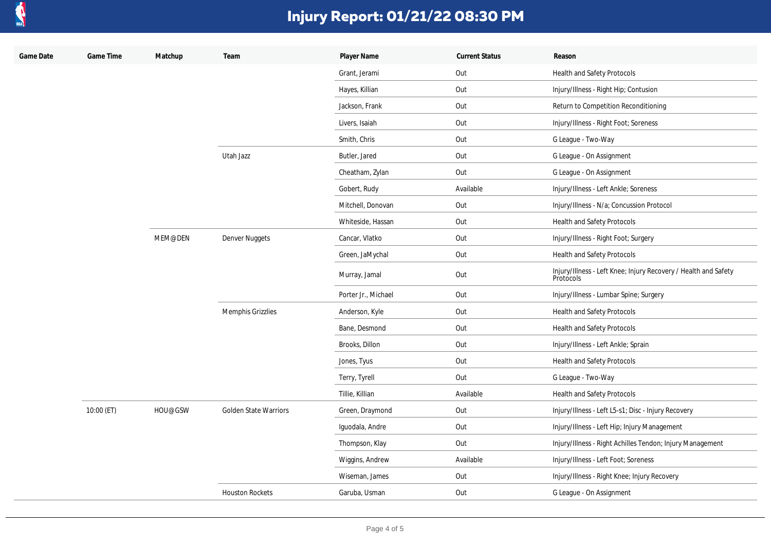

| Game Date | Game Time  | Matchup | Team                         | Player Name         | <b>Current Status</b> | Reason                                                                       |
|-----------|------------|---------|------------------------------|---------------------|-----------------------|------------------------------------------------------------------------------|
|           |            |         |                              | Grant, Jerami       | Out                   | Health and Safety Protocols                                                  |
|           |            |         |                              | Hayes, Killian      | Out                   | Injury/Illness - Right Hip; Contusion                                        |
|           |            |         |                              | Jackson, Frank      | Out                   | Return to Competition Reconditioning                                         |
|           |            |         |                              | Livers, Isaiah      | Out                   | Injury/Illness - Right Foot; Soreness                                        |
|           |            |         |                              | Smith, Chris        | Out                   | G League - Two-Way                                                           |
|           |            |         | Utah Jazz                    | Butler, Jared       | Out                   | G League - On Assignment                                                     |
|           |            |         |                              | Cheatham, Zylan     | Out                   | G League - On Assignment                                                     |
|           |            |         |                              | Gobert, Rudy        | Available             | Injury/Illness - Left Ankle; Soreness                                        |
|           |            |         |                              | Mitchell, Donovan   | Out                   | Injury/Illness - N/a; Concussion Protocol                                    |
|           |            |         |                              | Whiteside, Hassan   | Out                   | Health and Safety Protocols                                                  |
|           |            | MEM@DEN | Denver Nuggets               | Cancar, Vlatko      | Out                   | Injury/Illness - Right Foot; Surgery                                         |
|           |            |         |                              | Green, JaMychal     | Out                   | Health and Safety Protocols                                                  |
|           |            |         |                              | Murray, Jamal       | Out                   | Injury/Illness - Left Knee; Injury Recovery / Health and Safety<br>Protocols |
|           |            |         |                              | Porter Jr., Michael | Out                   | Injury/Illness - Lumbar Spine; Surgery                                       |
|           |            |         | Memphis Grizzlies            | Anderson, Kyle      | Out                   | Health and Safety Protocols                                                  |
|           |            |         |                              | Bane, Desmond       | Out                   | Health and Safety Protocols                                                  |
|           |            |         |                              | Brooks, Dillon      | Out                   | Injury/Illness - Left Ankle; Sprain                                          |
|           |            |         |                              | Jones, Tyus         | Out                   | Health and Safety Protocols                                                  |
|           |            |         |                              | Terry, Tyrell       | Out                   | G League - Two-Way                                                           |
|           |            |         |                              | Tillie, Killian     | Available             | Health and Safety Protocols                                                  |
|           | 10:00 (ET) | HOU@GSW | <b>Golden State Warriors</b> | Green, Draymond     | Out                   | Injury/Illness - Left L5-s1; Disc - Injury Recovery                          |
|           |            |         |                              | Iguodala, Andre     | Out                   | Injury/Illness - Left Hip; Injury Management                                 |
|           |            |         |                              | Thompson, Klay      | Out                   | Injury/Illness - Right Achilles Tendon; Injury Management                    |
|           |            |         |                              | Wiggins, Andrew     | Available             | Injury/Illness - Left Foot; Soreness                                         |
|           |            |         |                              | Wiseman, James      | Out                   | Injury/Illness - Right Knee; Injury Recovery                                 |
|           |            |         | <b>Houston Rockets</b>       | Garuba, Usman       | Out                   | G League - On Assignment                                                     |
|           |            |         |                              |                     |                       |                                                                              |